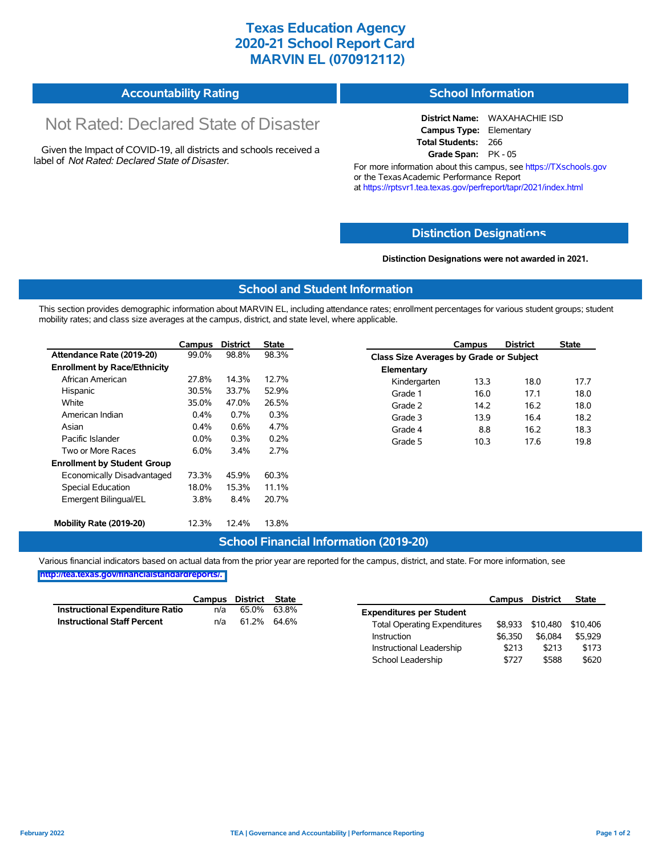## **Texas Education Agency 2020-21 School Report Card MARVIN EL (070912112)**

| <b>Accountability Rating</b> | <b>School Information</b> |
|------------------------------|---------------------------|
|------------------------------|---------------------------|

# Not Rated: Declared State of Disaster

Given the Impact of COVID-19, all districts and schools received a label of *Not Rated: Declared State of Disaster.*

**District Name:** WAXAHACHIE ISD **Campus Type:** Elementary **Total Students:** 266 **Grade Span:** PK - 05

For more information about this campus, see https://TXschools.gov or the Texas Academic Performance Report at https://rptsvr1.tea.texas.gov/perfreport/tapr/2021/index.html

#### **Distinction Designat[ions](https://TXschools.gov)**

**Distinction Designations were not awarded in 2021.**

School Leadership  $$727$  \$588 \$620

#### **School and Student Information**

This section provides demographic information about MARVIN EL, including attendance rates; enrollment percentages for various student groups; student mobility rates; and class size averages at the campus, district, and state level, where applicable.

|                                     | Campus  | <b>District</b> | <b>State</b> |              | Campus                                  | <b>District</b> | <b>State</b> |  |  |
|-------------------------------------|---------|-----------------|--------------|--------------|-----------------------------------------|-----------------|--------------|--|--|
| Attendance Rate (2019-20)           | 99.0%   | 98.8%           | 98.3%        |              | Class Size Averages by Grade or Subject |                 |              |  |  |
| <b>Enrollment by Race/Ethnicity</b> |         |                 |              | Elementary   |                                         |                 |              |  |  |
| African American                    | 27.8%   | 14.3%           | 12.7%        | Kindergarten | 13.3                                    | 18.0            | 17.7         |  |  |
| Hispanic                            | 30.5%   | 33.7%           | 52.9%        | Grade 1      | 16.0                                    | 17.1            | 18.0         |  |  |
| White                               | 35.0%   | 47.0%           | 26.5%        | Grade 2      | 14.2                                    | 16.2            | 18.0         |  |  |
| American Indian                     | 0.4%    | 0.7%            | 0.3%         | Grade 3      | 13.9                                    | 16.4            | 18.2         |  |  |
| Asian                               | 0.4%    | 0.6%            | 4.7%         | Grade 4      | 8.8                                     | 16.2            | 18.3         |  |  |
| Pacific Islander                    | $0.0\%$ | 0.3%            | 0.2%         | Grade 5      | 10.3                                    | 17.6            | 19.8         |  |  |
| Two or More Races                   | 6.0%    | 3.4%            | 2.7%         |              |                                         |                 |              |  |  |
| <b>Enrollment by Student Group</b>  |         |                 |              |              |                                         |                 |              |  |  |
| Economically Disadvantaged          | 73.3%   | 45.9%           | 60.3%        |              |                                         |                 |              |  |  |
| Special Education                   | 18.0%   | 15.3%           | 11.1%        |              |                                         |                 |              |  |  |
| Emergent Bilingual/EL               | 3.8%    | 8.4%            | 20.7%        |              |                                         |                 |              |  |  |
|                                     |         |                 |              |              |                                         |                 |              |  |  |
| Mobility Rate (2019-20)             | 12.3%   | 12.4%           | 13.8%        |              |                                         |                 |              |  |  |

### **School Financial Information (2019-20)**

Various financial indicators based on actual data from the prior year are reported for the campus, district, and state. For more information, see

**[http://tea.texas.gov/financialstandardreports/.](http://tea.texas.gov/financialstandardreports/)**

|                                        | Campus | District | <b>State</b> |                                     | Campus  | <b>District</b> | <b>State</b> |
|----------------------------------------|--------|----------|--------------|-------------------------------------|---------|-----------------|--------------|
| <b>Instructional Expenditure Ratio</b> | n/a    | 65.0%    | 63.8%        | <b>Expenditures per Student</b>     |         |                 |              |
| <b>Instructional Staff Percent</b>     | n/a    | 61.2%    | 64.6%        | <b>Total Operating Expenditures</b> | \$8.933 | \$10,480        | \$10.406     |
|                                        |        |          |              | Instruction                         | \$6.350 | \$6.084         | \$5,929      |
|                                        |        |          |              | Instructional Leadership            | \$213   | \$213           | \$173        |